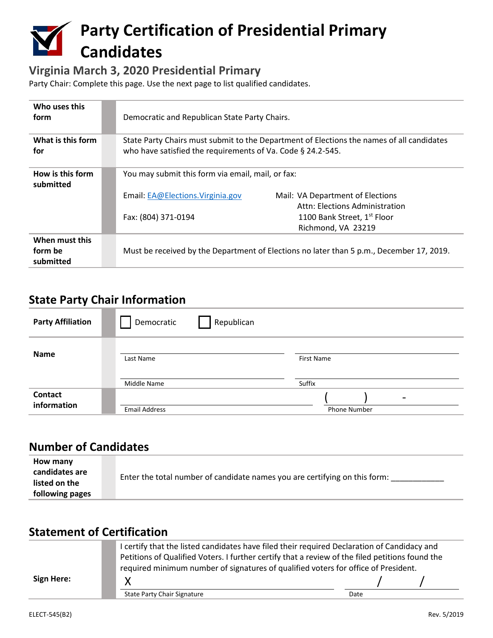# **Party Certification of Presidential Primary Candidates**

#### **Virginia March 3, 2020 Presidential Primary**

Party Chair: Complete this page. Use the next page to list qualified candidates.

| Who uses this<br>form                  | Democratic and Republican State Party Chairs.                                                                                                            |                                                                                     |
|----------------------------------------|----------------------------------------------------------------------------------------------------------------------------------------------------------|-------------------------------------------------------------------------------------|
| What is this form<br>for               | State Party Chairs must submit to the Department of Elections the names of all candidates<br>who have satisfied the requirements of Va. Code § 24.2-545. |                                                                                     |
| How is this form<br>submitted          | You may submit this form via email, mail, or fax:                                                                                                        |                                                                                     |
|                                        | Email: EA@Elections. Virginia.gov                                                                                                                        | Mail: VA Department of Elections                                                    |
|                                        | Fax: (804) 371-0194                                                                                                                                      | Attn: Elections Administration<br>1100 Bank Street, 1st Floor<br>Richmond, VA 23219 |
| When must this<br>form be<br>submitted | Must be received by the Department of Elections no later than 5 p.m., December 17, 2019.                                                                 |                                                                                     |

#### **State Party Chair Information**

| <b>Party Affiliation</b> | Democratic           | Republican |                     |  |
|--------------------------|----------------------|------------|---------------------|--|
| <b>Name</b>              | Last Name            |            | <b>First Name</b>   |  |
|                          | Middle Name          |            | Suffix              |  |
| <b>Contact</b>           |                      |            | -                   |  |
| information              | <b>Email Address</b> |            | <b>Phone Number</b> |  |

## **Number of Candidates**

| following pages |
|-----------------|
|-----------------|

### **Statement of Certification**

|            | I certify that the listed candidates have filed their required Declaration of Candidacy and<br>Petitions of Qualified Voters. I further certify that a review of the filed petitions found the |      |
|------------|------------------------------------------------------------------------------------------------------------------------------------------------------------------------------------------------|------|
|            | required minimum number of signatures of qualified voters for office of President.                                                                                                             |      |
| Sign Here: |                                                                                                                                                                                                |      |
|            | State Party Chair Signature                                                                                                                                                                    | Date |